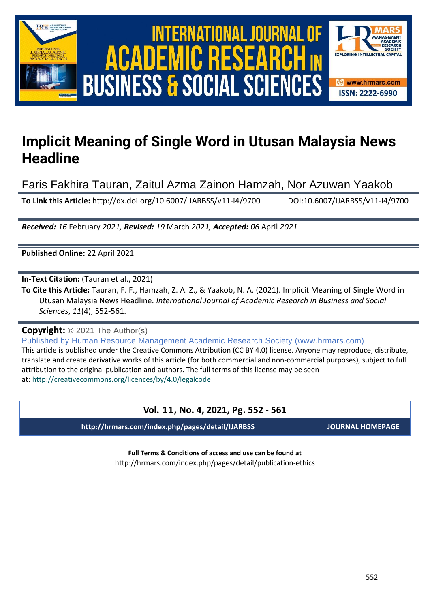

# International Journal of Academic Research in Business and Social Sciences **Vol. 1 1 , No. 4, 2021, E-ISSN: 2222-6990 © 2021 HRMARS** ACADEMIC **BUSINESS & SOCIAL SCIENCES**



# **Implicit Meaning of Single Word in Utusan Malaysia News Headline**

Faris Fakhira Tauran, Zaitul Azma Zainon Hamzah, Nor Azuwan Yaakob

**To Link this Article:** http://dx.doi.org/10.6007/IJARBSS/v11-i4/9700 DOI:10.6007/IJARBSS/v11-i4/9700

*Received: 16* February *2021, Revised: 19* March *2021, Accepted: 06* April *2021*

**Published Online:** 22 April 2021

**In-Text Citation:** (Tauran et al., 2021)

**To Cite this Article:** Tauran, F. F., Hamzah, Z. A. Z., & Yaakob, N. A. (2021). Implicit Meaning of Single Word in Utusan Malaysia News Headline. *International Journal of Academic Research in Business and Social Sciences*, *11*(4), 552-561.

**Copyright:** © 2021 The Author(s)

Published by Human Resource Management Academic Research Society (www.hrmars.com) This article is published under the Creative Commons Attribution (CC BY 4.0) license. Anyone may reproduce, distribute, translate and create derivative works of this article (for both commercial and non-commercial purposes), subject to full attribution to the original publication and authors. The full terms of this license may be seen at: <http://creativecommons.org/licences/by/4.0/legalcode>

# **Vol. 11, No. 4, 2021, Pg. 552 - 561**

**http://hrmars.com/index.php/pages/detail/IJARBSS JOURNAL HOMEPAGE**

**Full Terms & Conditions of access and use can be found at** http://hrmars.com/index.php/pages/detail/publication-ethics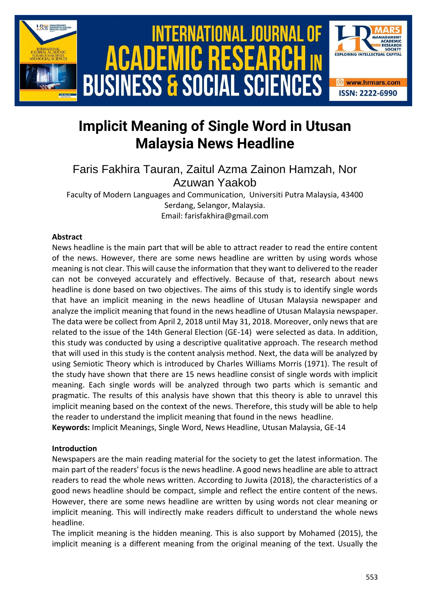

# **Implicit Meaning of Single Word in Utusan Malaysia News Headline**

Faris Fakhira Tauran, Zaitul Azma Zainon Hamzah, Nor Azuwan Yaakob

Faculty of Modern Languages and Communication, Universiti Putra Malaysia, 43400 Serdang, Selangor, Malaysia. Email: farisfakhira@gmail.com

### **Abstract**

News headline is the main part that will be able to attract reader to read the entire content of the news. However, there are some news headline are written by using words whose meaning is not clear. This will cause the information that they want to delivered to the reader can not be conveyed accurately and effectively. Because of that, research about news headline is done based on two objectives. The aims of this study is to identify single words that have an implicit meaning in the news headline of Utusan Malaysia newspaper and analyze the implicit meaning that found in the news headline of Utusan Malaysia newspaper. The data were be collect from April 2, 2018 until May 31, 2018. Moreover, only news that are related to the issue of the 14th General Election (GE-14) were selected as data. In addition, this study was conducted by using a descriptive qualitative approach. The research method that will used in this study is the content analysis method. Next, the data will be analyzed by using Semiotic Theory which is introduced by Charles Williams Morris (1971). The result of the study have shown that there are 15 news headline consist of single words with implicit meaning. Each single words will be analyzed through two parts which is semantic and pragmatic. The results of this analysis have shown that this theory is able to unravel this implicit meaning based on the context of the news. Therefore, this study will be able to help the reader to understand the implicit meaning that found in the news headline. **Keywords:** Implicit Meanings, Single Word, News Headline, Utusan Malaysia, GE-14

#### **Introduction**

Newspapers are the main reading material for the society to get the latest information. The main part of the readers' focus is the news headline. A good news headline are able to attract readers to read the whole news written. According to Juwita (2018), the characteristics of a good news headline should be compact, simple and reflect the entire content of the news. However, there are some news headline are written by using words not clear meaning or implicit meaning. This will indirectly make readers difficult to understand the whole news headline.

The implicit meaning is the hidden meaning. This is also support by Mohamed (2015), the implicit meaning is a different meaning from the original meaning of the text. Usually the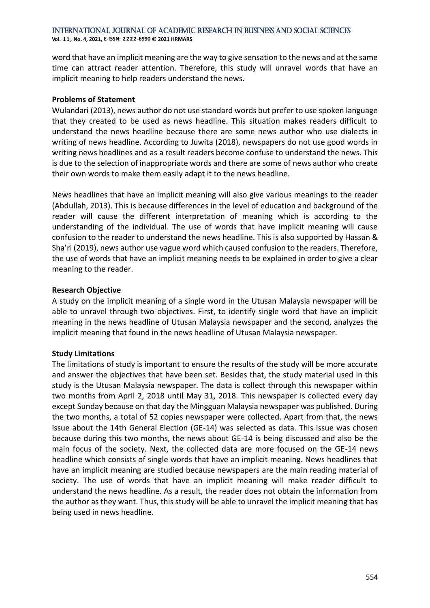**Vol. 1 1 , No. 4, 2021, E-ISSN: 2222-6990 © 2021 HRMARS**

word that have an implicit meaning are the way to give sensation to the news and at the same time can attract reader attention. Therefore, this study will unravel words that have an implicit meaning to help readers understand the news.

#### **Problems of Statement**

Wulandari (2013), news author do not use standard words but prefer to use spoken language that they created to be used as news headline. This situation makes readers difficult to understand the news headline because there are some news author who use dialects in writing of news headline. According to Juwita (2018), newspapers do not use good words in writing news headlines and as a result readers become confuse to understand the news. This is due to the selection of inappropriate words and there are some of news author who create their own words to make them easily adapt it to the news headline.

News headlines that have an implicit meaning will also give various meanings to the reader (Abdullah, 2013). This is because differences in the level of education and background of the reader will cause the different interpretation of meaning which is according to the understanding of the individual. The use of words that have implicit meaning will cause confusion to the reader to understand the news headline. This is also supported by Hassan & Sha'ri (2019), news author use vague word which caused confusion to the readers. Therefore, the use of words that have an implicit meaning needs to be explained in order to give a clear meaning to the reader.

#### **Research Objective**

A study on the implicit meaning of a single word in the Utusan Malaysia newspaper will be able to unravel through two objectives. First, to identify single word that have an implicit meaning in the news headline of Utusan Malaysia newspaper and the second, analyzes the implicit meaning that found in the news headline of Utusan Malaysia newspaper.

#### **Study Limitations**

The limitations of study is important to ensure the results of the study will be more accurate and answer the objectives that have been set. Besides that, the study material used in this study is the Utusan Malaysia newspaper. The data is collect through this newspaper within two months from April 2, 2018 until May 31, 2018. This newspaper is collected every day except Sunday because on that day the Mingguan Malaysia newspaper was published. During the two months, a total of 52 copies newspaper were collected. Apart from that, the news issue about the 14th General Election (GE-14) was selected as data. This issue was chosen because during this two months, the news about GE-14 is being discussed and also be the main focus of the society. Next, the collected data are more focused on the GE-14 news headline which consists of single words that have an implicit meaning. News headlines that have an implicit meaning are studied because newspapers are the main reading material of society. The use of words that have an implicit meaning will make reader difficult to understand the news headline. As a result, the reader does not obtain the information from the author as they want. Thus, this study will be able to unravel the implicit meaning that has being used in news headline.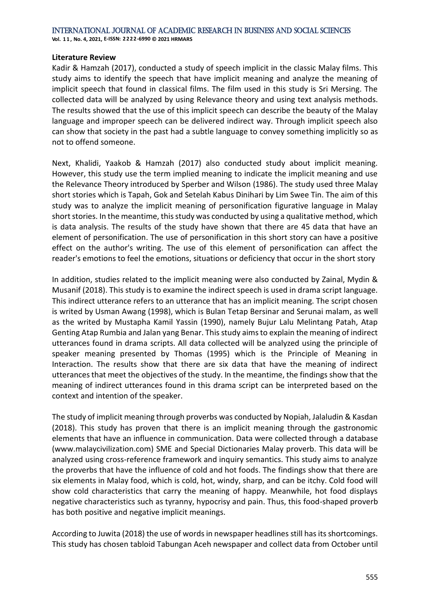**Vol. 1 1 , No. 4, 2021, E-ISSN: 2222-6990 © 2021 HRMARS**

#### **Literature Review**

Kadir & Hamzah (2017), conducted a study of speech implicit in the classic Malay films. This study aims to identify the speech that have implicit meaning and analyze the meaning of implicit speech that found in classical films. The film used in this study is Sri Mersing. The collected data will be analyzed by using Relevance theory and using text analysis methods. The results showed that the use of this implicit speech can describe the beauty of the Malay language and improper speech can be delivered indirect way. Through implicit speech also can show that society in the past had a subtle language to convey something implicitly so as not to offend someone.

Next, Khalidi, Yaakob & Hamzah (2017) also conducted study about implicit meaning. However, this study use the term implied meaning to indicate the implicit meaning and use the Relevance Theory introduced by Sperber and Wilson (1986). The study used three Malay short stories which is Tapah, Gok and Setelah Kabus Dinihari by Lim Swee Tin. The aim of this study was to analyze the implicit meaning of personification figurative language in Malay short stories. In the meantime, this study was conducted by using a qualitative method, which is data analysis. The results of the study have shown that there are 45 data that have an element of personification. The use of personification in this short story can have a positive effect on the author's writing. The use of this element of personification can affect the reader's emotions to feel the emotions, situations or deficiency that occur in the short story

In addition, studies related to the implicit meaning were also conducted by Zainal, Mydin & Musanif (2018). This study is to examine the indirect speech is used in drama script language. This indirect utterance refers to an utterance that has an implicit meaning. The script chosen is writed by Usman Awang (1998), which is Bulan Tetap Bersinar and Serunai malam, as well as the writed by Mustapha Kamil Yassin (1990), namely Bujur Lalu Melintang Patah, Atap Genting Atap Rumbia and Jalan yang Benar. This study aims to explain the meaning of indirect utterances found in drama scripts. All data collected will be analyzed using the principle of speaker meaning presented by Thomas (1995) which is the Principle of Meaning in Interaction. The results show that there are six data that have the meaning of indirect utterances that meet the objectives of the study. In the meantime, the findings show that the meaning of indirect utterances found in this drama script can be interpreted based on the context and intention of the speaker.

The study of implicit meaning through proverbs was conducted by Nopiah, Jalaludin & Kasdan (2018). This study has proven that there is an implicit meaning through the gastronomic elements that have an influence in communication. Data were collected through a database (www.malaycivilization.com) SME and Special Dictionaries Malay proverb. This data will be analyzed using cross-reference framework and inquiry semantics. This study aims to analyze the proverbs that have the influence of cold and hot foods. The findings show that there are six elements in Malay food, which is cold, hot, windy, sharp, and can be itchy. Cold food will show cold characteristics that carry the meaning of happy. Meanwhile, hot food displays negative characteristics such as tyranny, hypocrisy and pain. Thus, this food-shaped proverb has both positive and negative implicit meanings.

According to Juwita (2018) the use of words in newspaper headlines still has its shortcomings. This study has chosen tabloid Tabungan Aceh newspaper and collect data from October until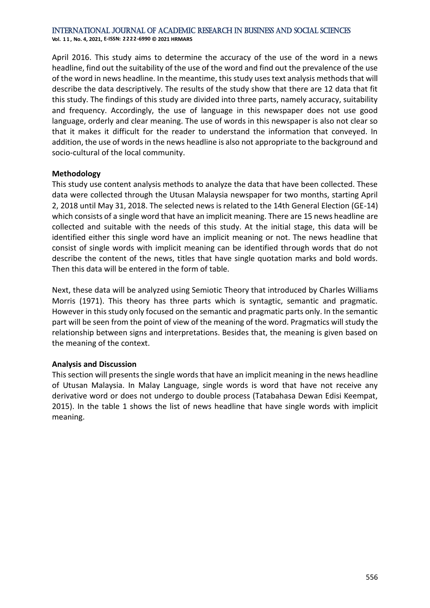**Vol. 1 1 , No. 4, 2021, E-ISSN: 2222-6990 © 2021 HRMARS**

April 2016. This study aims to determine the accuracy of the use of the word in a news headline, find out the suitability of the use of the word and find out the prevalence of the use of the word in news headline. In the meantime, this study uses text analysis methods that will describe the data descriptively. The results of the study show that there are 12 data that fit this study. The findings of this study are divided into three parts, namely accuracy, suitability and frequency. Accordingly, the use of language in this newspaper does not use good language, orderly and clear meaning. The use of words in this newspaper is also not clear so that it makes it difficult for the reader to understand the information that conveyed. In addition, the use of words in the news headline is also not appropriate to the background and socio-cultural of the local community.

#### **Methodology**

This study use content analysis methods to analyze the data that have been collected. These data were collected through the Utusan Malaysia newspaper for two months, starting April 2, 2018 until May 31, 2018. The selected news is related to the 14th General Election (GE-14) which consists of a single word that have an implicit meaning. There are 15 news headline are collected and suitable with the needs of this study. At the initial stage, this data will be identified either this single word have an implicit meaning or not. The news headline that consist of single words with implicit meaning can be identified through words that do not describe the content of the news, titles that have single quotation marks and bold words. Then this data will be entered in the form of table.

Next, these data will be analyzed using Semiotic Theory that introduced by Charles Williams Morris (1971). This theory has three parts which is syntagtic, semantic and pragmatic. However in this study only focused on the semantic and pragmatic parts only. In the semantic part will be seen from the point of view of the meaning of the word. Pragmatics will study the relationship between signs and interpretations. Besides that, the meaning is given based on the meaning of the context.

#### **Analysis and Discussion**

This section will presents the single words that have an implicit meaning in the news headline of Utusan Malaysia. In Malay Language, single words is word that have not receive any derivative word or does not undergo to double process (Tatabahasa Dewan Edisi Keempat, 2015). In the table 1 shows the list of news headline that have single words with implicit meaning.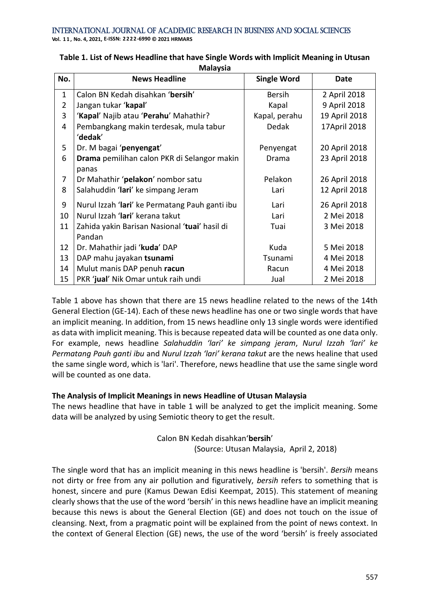**Vol. 1 1 , No. 4, 2021, E-ISSN: 2222-6990 © 2021 HRMARS**

| No.            | <b>News Headline</b>                           | <b>Single Word</b> | Date          |
|----------------|------------------------------------------------|--------------------|---------------|
| $\mathbf{1}$   | Calon BN Kedah disahkan 'bersih'               | <b>Bersih</b>      | 2 April 2018  |
| $\overline{2}$ | Jangan tukar 'kapal'                           | Kapal              | 9 April 2018  |
| 3              | 'Kapal' Najib atau 'Perahu' Mahathir?          | Kapal, perahu      | 19 April 2018 |
| 4              | Pembangkang makin terdesak, mula tabur         | Dedak              | 17April 2018  |
|                | 'dedak'                                        |                    |               |
| 5              | Dr. M bagai 'penyengat'                        | Penyengat          | 20 April 2018 |
| 6              | Drama pemilihan calon PKR di Selangor makin    | Drama              | 23 April 2018 |
|                | panas                                          |                    |               |
| 7              | Dr Mahathir 'pelakon' nombor satu              | Pelakon            | 26 April 2018 |
| 8              | Salahuddin 'lari' ke simpang Jeram             | Lari               | 12 April 2018 |
| 9              | Nurul Izzah 'lari' ke Permatang Pauh ganti ibu | Lari               | 26 April 2018 |
| 10             | Nurul Izzah 'lari' kerana takut                | Lari               | 2 Mei 2018    |
| 11             | Zahida yakin Barisan Nasional 'tuai' hasil di  | Tuai               | 3 Mei 2018    |
|                | Pandan                                         |                    |               |
| 12             | Dr. Mahathir jadi 'kuda' DAP                   | Kuda               | 5 Mei 2018    |
| 13             | DAP mahu jayakan tsunami                       | Tsunami            | 4 Mei 2018    |
| 14             | Mulut manis DAP penuh racun                    | Racun              | 4 Mei 2018    |
| 15             | PKR 'jual' Nik Omar untuk raih undi            | Jual               | 2 Mei 2018    |

## **Table 1. List of News Headline that have Single Words with Implicit Meaning in Utusan Malaysia**

Table 1 above has shown that there are 15 news headline related to the news of the 14th General Election (GE-14). Each of these news headline has one or two single words that have an implicit meaning. In addition, from 15 news headline only 13 single words were identified as data with implicit meaning. This is because repeated data will be counted as one data only. For example, news headline *Salahuddin 'lari' ke simpang jeram*, *Nurul Izzah 'lari' ke Permatang Pauh ganti ibu* and *Nurul Izzah 'lari' kerana takut* are the news healine that used the same single word, which is 'lari'. Therefore, news headline that use the same single word will be counted as one data.

## **The Analysis of Implicit Meanings in news Headline of Utusan Malaysia**

The news headline that have in table 1 will be analyzed to get the implicit meaning. Some data will be analyzed by using Semiotic theory to get the result.

# Calon BN Kedah disahkan'**bersih**' (Source: Utusan Malaysia, April 2, 2018)

The single word that has an implicit meaning in this news headline is 'bersih'. *Bersih* means not dirty or free from any air pollution and figuratively, *bersih* refers to something that is honest, sincere and pure (Kamus Dewan Edisi Keempat, 2015). This statement of meaning clearly shows that the use of the word 'bersih' in this news headline have an implicit meaning because this news is about the General Election (GE) and does not touch on the issue of cleansing. Next, from a pragmatic point will be explained from the point of news context. In the context of General Election (GE) news, the use of the word 'bersih' is freely associated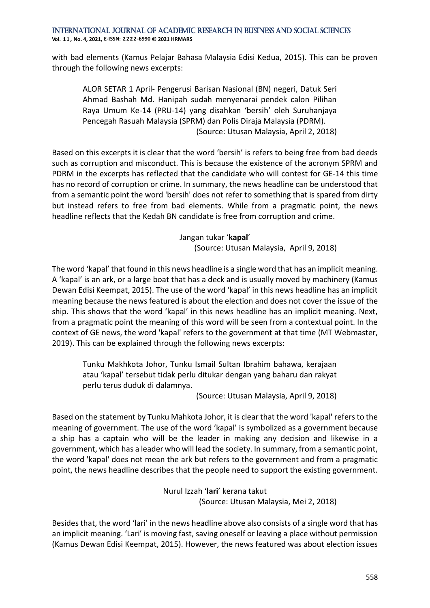International Journal of Academic Research in Business and Social Sciences **Vol. 1 1 , No. 4, 2021, E-ISSN: 2222-6990 © 2021 HRMARS**

with bad elements (Kamus Pelajar Bahasa Malaysia Edisi Kedua, 2015). This can be proven through the following news excerpts:

ALOR SETAR 1 April- Pengerusi Barisan Nasional (BN) negeri, Datuk Seri Ahmad Bashah Md. Hanipah sudah menyenarai pendek calon Pilihan Raya Umum Ke-14 (PRU-14) yang disahkan 'bersih' oleh Suruhanjaya Pencegah Rasuah Malaysia (SPRM) dan Polis Diraja Malaysia (PDRM). (Source: Utusan Malaysia, April 2, 2018)

Based on this excerpts it is clear that the word 'bersih' is refers to being free from bad deeds such as corruption and misconduct. This is because the existence of the acronym SPRM and PDRM in the excerpts has reflected that the candidate who will contest for GE-14 this time has no record of corruption or crime. In summary, the news headline can be understood that from a semantic point the word 'bersih' does not refer to something that is spared from dirty but instead refers to free from bad elements. While from a pragmatic point, the news headline reflects that the Kedah BN candidate is free from corruption and crime.

Jangan tukar '**kapal**'

(Source: Utusan Malaysia, April 9, 2018)

The word 'kapal' that found in this news headline is a single word that has an implicit meaning. A 'kapal' is an ark, or a large boat that has a deck and is usually moved by machinery (Kamus Dewan Edisi Keempat, 2015). The use of the word 'kapal' in this news headline has an implicit meaning because the news featured is about the election and does not cover the issue of the ship. This shows that the word 'kapal' in this news headline has an implicit meaning. Next, from a pragmatic point the meaning of this word will be seen from a contextual point. In the context of GE news, the word 'kapal' refers to the government at that time (MT Webmaster, 2019). This can be explained through the following news excerpts:

Tunku Makhkota Johor, Tunku Ismail Sultan Ibrahim bahawa, kerajaan atau 'kapal' tersebut tidak perlu ditukar dengan yang baharu dan rakyat perlu terus duduk di dalamnya.

(Source: Utusan Malaysia, April 9, 2018)

Based on the statement by Tunku Mahkota Johor, it is clear that the word 'kapal' refers to the meaning of government. The use of the word 'kapal' is symbolized as a government because a ship has a captain who will be the leader in making any decision and likewise in a government, which has a leader who will lead the society. In summary, from a semantic point, the word 'kapal' does not mean the ark but refers to the government and from a pragmatic point, the news headline describes that the people need to support the existing government.

> Nurul Izzah '**lari**' kerana takut (Source: Utusan Malaysia, Mei 2, 2018)

Besides that, the word 'lari' in the news headline above also consists of a single word that has an implicit meaning. 'Lari' is moving fast, saving oneself or leaving a place without permission (Kamus Dewan Edisi Keempat, 2015). However, the news featured was about election issues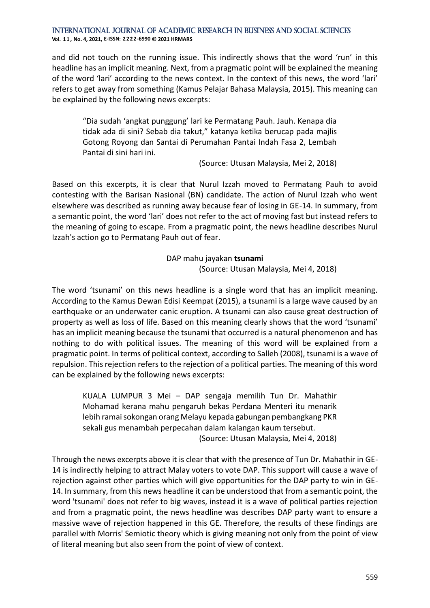**Vol. 1 1 , No. 4, 2021, E-ISSN: 2222-6990 © 2021 HRMARS**

and did not touch on the running issue. This indirectly shows that the word 'run' in this headline has an implicit meaning. Next, from a pragmatic point will be explained the meaning of the word 'lari' according to the news context. In the context of this news, the word 'lari' refers to get away from something (Kamus Pelajar Bahasa Malaysia, 2015). This meaning can be explained by the following news excerpts:

"Dia sudah 'angkat punggung' lari ke Permatang Pauh. Jauh. Kenapa dia tidak ada di sini? Sebab dia takut," katanya ketika berucap pada majlis Gotong Royong dan Santai di Perumahan Pantai Indah Fasa 2, Lembah Pantai di sini hari ini.

(Source: Utusan Malaysia, Mei 2, 2018)

Based on this excerpts, it is clear that Nurul Izzah moved to Permatang Pauh to avoid contesting with the Barisan Nasional (BN) candidate. The action of Nurul Izzah who went elsewhere was described as running away because fear of losing in GE-14. In summary, from a semantic point, the word 'lari' does not refer to the act of moving fast but instead refers to the meaning of going to escape. From a pragmatic point, the news headline describes Nurul Izzah's action go to Permatang Pauh out of fear.

> DAP mahu jayakan **tsunami** (Source: Utusan Malaysia, Mei 4, 2018)

The word 'tsunami' on this news headline is a single word that has an implicit meaning. According to the Kamus Dewan Edisi Keempat (2015), a tsunami is a large wave caused by an earthquake or an underwater canic eruption. A tsunami can also cause great destruction of property as well as loss of life. Based on this meaning clearly shows that the word 'tsunami' has an implicit meaning because the tsunami that occurred is a natural phenomenon and has nothing to do with political issues. The meaning of this word will be explained from a pragmatic point. In terms of political context, according to Salleh (2008), tsunami is a wave of repulsion. This rejection refers to the rejection of a political parties. The meaning of this word can be explained by the following news excerpts:

KUALA LUMPUR 3 Mei – DAP sengaja memilih Tun Dr. Mahathir Mohamad kerana mahu pengaruh bekas Perdana Menteri itu menarik lebih ramai sokongan orang Melayu kepada gabungan pembangkang PKR sekali gus menambah perpecahan dalam kalangan kaum tersebut. (Source: Utusan Malaysia, Mei 4, 2018)

Through the news excerpts above it is clear that with the presence of Tun Dr. Mahathir in GE-14 is indirectly helping to attract Malay voters to vote DAP. This support will cause a wave of rejection against other parties which will give opportunities for the DAP party to win in GE-14. In summary, from this news headline it can be understood that from a semantic point, the word 'tsunami' does not refer to big waves, instead it is a wave of political parties rejection and from a pragmatic point, the news headline was describes DAP party want to ensure a massive wave of rejection happened in this GE. Therefore, the results of these findings are parallel with Morris' Semiotic theory which is giving meaning not only from the point of view of literal meaning but also seen from the point of view of context.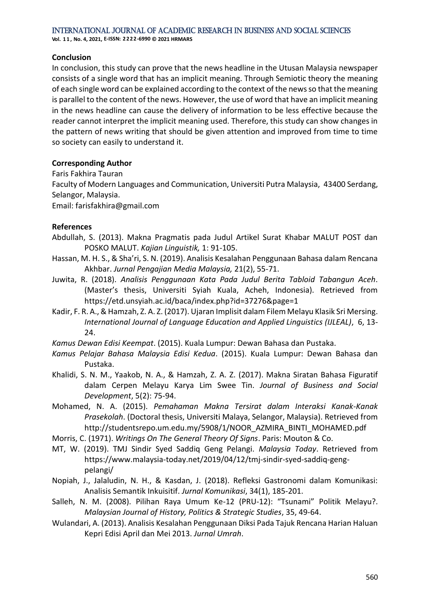International Journal of Academic Research in Business and Social Sciences **Vol. 1 1 , No. 4, 2021, E-ISSN: 2222-6990 © 2021 HRMARS**

**Conclusion** 

In conclusion, this study can prove that the news headline in the Utusan Malaysia newspaper consists of a single word that has an implicit meaning. Through Semiotic theory the meaning of each single word can be explained according to the context of the news so that the meaning is parallel to the content of the news. However, the use of word that have an implicit meaning in the news headline can cause the delivery of information to be less effective because the reader cannot interpret the implicit meaning used. Therefore, this study can show changes in the pattern of news writing that should be given attention and improved from time to time so society can easily to understand it.

### **Corresponding Author**

Faris Fakhira Tauran

Faculty of Modern Languages and Communication, Universiti Putra Malaysia, 43400 Serdang, Selangor, Malaysia.

Email: farisfakhira@gmail.com

### **References**

- Abdullah, S. (2013). Makna Pragmatis pada Judul Artikel Surat Khabar MALUT POST dan POSKO MALUT. *Kajian Linguistik,* 1: 91-105.
- Hassan, M. H. S., & Sha'ri, S. N. (2019). Analisis Kesalahan Penggunaan Bahasa dalam Rencana Akhbar. *Jurnal Pengajian Media Malaysia,* 21(2), 55-71.
- Juwita, R. (2018). *Analisis Penggunaan Kata Pada Judul Berita Tabloid Tabangun Aceh*. (Master's thesis, Universiti Syiah Kuala, Acheh, Indonesia). Retrieved from https://etd.unsyiah.ac.id/baca/index.php?id=37276&page=1
- Kadir, F. R. A., & Hamzah, Z. A. Z. (2017). Ujaran Implisit dalam Filem Melayu Klasik Sri Mersing. *International Journal of Language Education and Applied Linguistics (IJLEAL)*, 6, 13- 24.

*Kamus Dewan Edisi Keempat*. (2015). Kuala Lumpur: Dewan Bahasa dan Pustaka.

- *Kamus Pelajar Bahasa Malaysia Edisi Kedua*. (2015). Kuala Lumpur: Dewan Bahasa dan Pustaka.
- Khalidi, S. N. M., Yaakob, N. A., & Hamzah, Z. A. Z. (2017). Makna Siratan Bahasa Figuratif dalam Cerpen Melayu Karya Lim Swee Tin. *Journal of Business and Social Development*, 5(2): 75-94.
- Mohamed, N. A. (2015). *Pemahaman Makna Tersirat dalam Interaksi Kanak-Kanak Prasekolah*. (Doctoral thesis, Universiti Malaya, Selangor, Malaysia). Retrieved from http://studentsrepo.um.edu.my/5908/1/NOOR\_AZMIRA\_BINTI\_MOHAMED.pdf
- Morris, C. (1971). *Writings On The General Theory Of Signs*. Paris: Mouton & Co.
- MT, W. (2019). TMJ Sindir Syed Saddiq Geng Pelangi. *Malaysia Today*. Retrieved from [https://www.malaysia-today.net/2019/04/12/tmj-sindir-syed-saddiq-geng](https://www.malaysia-today.net/2019/04/12/tmj-sindir-syed-saddiq-geng-pelangi/)[pelangi/](https://www.malaysia-today.net/2019/04/12/tmj-sindir-syed-saddiq-geng-pelangi/)
- Nopiah, J., Jalaludin, N. H., & Kasdan, J. (2018). Refleksi Gastronomi dalam Komunikasi: Analisis Semantik Inkuisitif. *Jurnal Komunikasi*, 34(1), 185-201.
- Salleh, N. M. (2008). Pilihan Raya Umum Ke-12 (PRU-12): "Tsunami" Politik Melayu?. *Malaysian Journal of History, Politics & Strategic Studies*, 35, 49-64.
- Wulandari, A. (2013). Analisis Kesalahan Penggunaan Diksi Pada Tajuk Rencana Harian Haluan Kepri Edisi April dan Mei 2013. *Jurnal Umrah*.